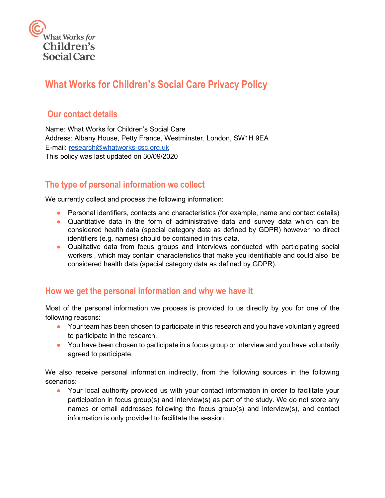

# **What Works for Children's Social Care Privacy Policy**

## **Our contact details**

Name: What Works for Children's Social Care Address: Albany House, Petty France, Westminster, London, SW1H 9EA E-mail: [research@whatworks-csc.org.uk](mailto:research@whatworks-csc.org.uk) This policy was last updated on 30/09/2020

## **The type of personal information we collect**

We currently collect and process the following information:

- Personal identifiers, contacts and characteristics (for example, name and contact details)
- Quantitative data in the form of administrative data and survey data which can be considered health data (special category data as defined by GDPR) however no direct identifiers (e.g. names) should be contained in this data.
- Qualitative data from focus groups and interviews conducted with participating social workers , which may contain characteristics that make you identifiable and could also be considered health data (special category data as defined by GDPR).

#### **How we get the personal information and why we have it**

Most of the personal information we process is provided to us directly by you for one of the following reasons:

- Your team has been chosen to participate in this research and you have voluntarily agreed to participate in the research.
- You have been chosen to participate in a focus group or interview and you have voluntarily agreed to participate.

We also receive personal information indirectly, from the following sources in the following scenarios:

● Your local authority provided us with your contact information in order to facilitate your participation in focus group(s) and interview(s) as part of the study. We do not store any names or email addresses following the focus group(s) and interview(s), and contact information is only provided to facilitate the session.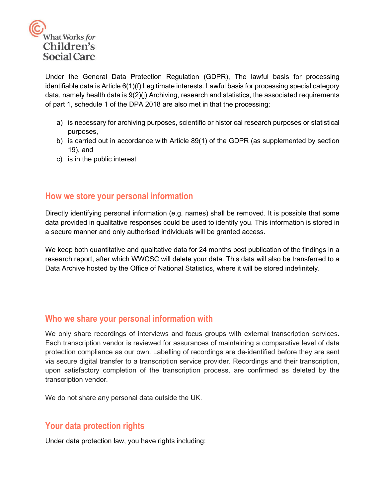

Under the General Data Protection Regulation (GDPR), The lawful basis for processing identifiable data is Article 6(1)(f) Legitimate interests. Lawful basis for processing special category data, namely health data is 9(2)(j) Archiving, research and statistics, the associated requirements of part 1, schedule 1 of the DPA 2018 are also met in that the processing;

- a) is necessary for archiving purposes, scientific or historical research purposes or statistical purposes,
- b) is carried out in accordance with Article 89(1) of the GDPR (as supplemented by section 19), and
- c) is in the public interest

#### **How we store your personal information**

Directly identifying personal information (e.g. names) shall be removed. It is possible that some data provided in qualitative responses could be used to identify you. This information is stored in a secure manner and only authorised individuals will be granted access.

We keep both quantitative and qualitative data for 24 months post publication of the findings in a research report, after which WWCSC will delete your data. This data will also be transferred to a Data Archive hosted by the Office of National Statistics, where it will be stored indefinitely.

#### **Who we share your personal information with**

We only share recordings of interviews and focus groups with external transcription services. Each transcription vendor is reviewed for assurances of maintaining a comparative level of data protection compliance as our own. Labelling of recordings are de-identified before they are sent via secure digital transfer to a transcription service provider. Recordings and their transcription, upon satisfactory completion of the transcription process, are confirmed as deleted by the transcription vendor.

We do not share any personal data outside the UK.

# **Your data protection rights**

Under data protection law, you have rights including: